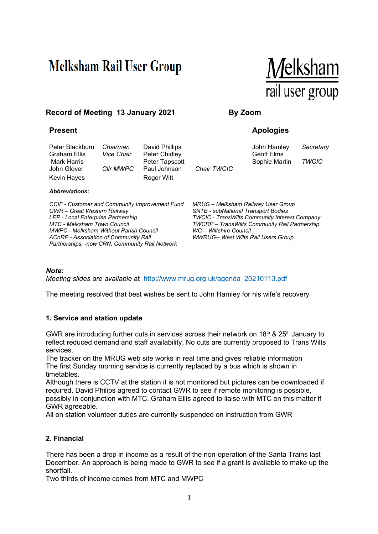# **Melksham Rail User Group**



# **Record of Meeting 13 January 2021 By Zoom**

Peter Blackburn *Chairman* David Phillips **Communist Constructs** John Hamley Secretary Graham Ellis *Vice Chair* Peter Chidley **Geoff Elms** Geoff Elms John Glover *Cllr MWPC* Paul Johnson *Chair TWCIC* Kevin Hayes **Roger Witt** 

#### *Abbreviations:*

*CCIF - Customer and Community Improvement Fund GWR – Great Western Railway LEP - Local Enterprise Partnership MTC - Melksham Town Council MWPC - Melksham Without Parish Council ACoRP - Association of Community Rail Partnerships, -now CRN, Community Rail Network* 

# **Present Apologies**

Mark Harris **National Peter Tapscott National Sophie Martin TWCIC** 

*WC – Wiltshire Council* 

*MRUG – Melksham Railway User Group SNTB - subNational Transport Bodies TWCIC - TransWilts Community Interest Company* 

*TWCRP – TransWilts Community Rail Partnership* 

*WWRUG-- West Wilts Rail Users Group* 

*Note:* 

*Meeting slides are available* at http://www.mrug.org.uk/agenda\_20210113.pdf

The meeting resolved that best wishes be sent to John Hamley for his wife's recovery

#### **1. Service and station update**

GWR are introducing further cuts in services across their network on 18<sup>th</sup> & 25<sup>th</sup> January to reflect reduced demand and staff availability. No cuts are currently proposed to Trans Wilts services.

The tracker on the MRUG web site works in real time and gives reliable information The first Sunday morning service is currently replaced by a bus which is shown in timetables.

Although there is CCTV at the station it is not monitored but pictures can be downloaded if required. David Philips agreed to contact GWR to see if remote monitoring is possible, possibly in conjunction with MTC. Graham Ellis agreed to liaise with MTC on this matter if GWR agreeable.

All on station volunteer duties are currently suspended on instruction from GWR

#### **2. Financial**

There has been a drop in income as a result of the non-operation of the Santa Trains last December. An approach is being made to GWR to see if a grant is available to make up the shortfall.

Two thirds of income comes from MTC and MWPC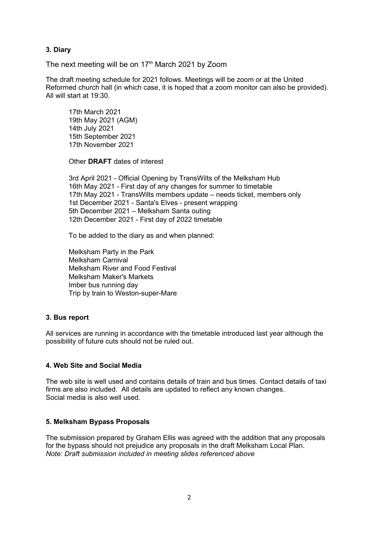## **3. Diary**

The next meeting will be on  $17<sup>th</sup>$  March 2021 by Zoom

The draft meeting schedule for 2021 follows. Meetings will be zoom or at the United Reformed church hall (in which case, it is hoped that a zoom monitor can also be provided). All will start at 19:30.

17th March 2021 19th May 2021 (AGM) 14th July 2021 15th September 2021 17th November 2021

Other **DRAFT** dates of interest

3rd April 2021 - Official Opening by TransWilts of the Melksham Hub 16th May 2021 - First day of any changes for summer to timetable 17th May 2021 - TransWilts members update – needs ticket, members only 1st December 2021 - Santa's Elves - present wrapping 5th December 2021 – Melksham Santa outing 12th December 2021 - First day of 2022 timetable

To be added to the diary as and when planned:

Melksham Party in the Park Melksham Carnival Melksham River and Food Festival Melksham Maker's Markets Imber bus running day Trip by train to Weston-super-Mare

#### **3. Bus report**

All services are running in accordance with the timetable introduced last year although the possibility of future cuts should not be ruled out.

#### **4. Web Site and Social Media**

The web site is well used and contains details of train and bus times. Contact details of taxi firms are also included. All details are updated to reflect any known changes. Social media is also well used.

#### **5. Melksham Bypass Proposals**

The submission prepared by Graham Ellis was agreed with the addition that any proposals for the bypass should not prejudice any proposals in the draft Melksham Local Plan. *Note: Draft submission included in meeting slides referenced above*